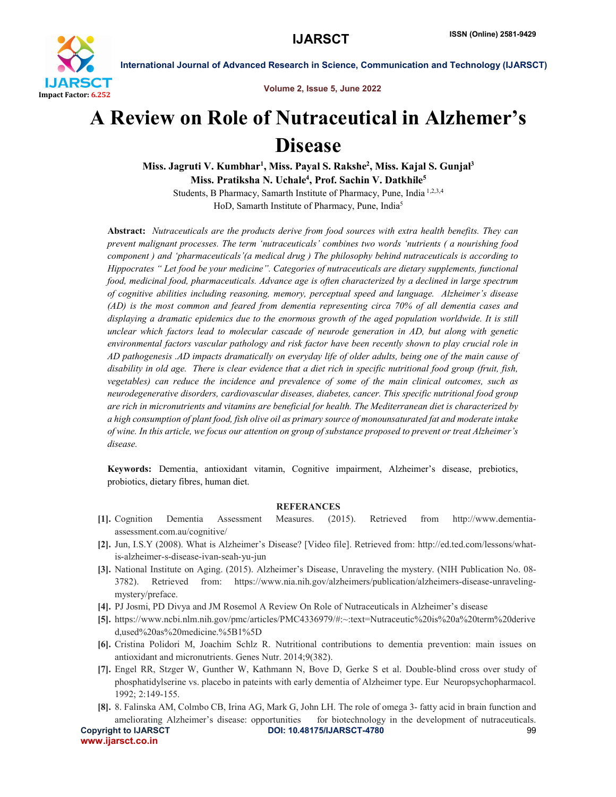

International Journal of Advanced Research in Science, Communication and Technology (IJARSCT)

Volume 2, Issue 5, June 2022

# A Review on Role of Nutraceutical in Alzhemer's Disease

Miss. Jagruti V. Kumbhar<sup>1</sup>, Miss. Payal S. Rakshe<sup>2</sup>, Miss. Kajal S. Gunjal<sup>3</sup> Miss. Pratiksha N. Uchale<sup>4</sup>, Prof. Sachin V. Datkhile<sup>5</sup> Students, B Pharmacy, Samarth Institute of Pharmacy, Pune, India 1,2,3,4

HoD, Samarth Institute of Pharmacy, Pune, India<sup>5</sup>

Abstract: *Nutraceuticals are the products derive from food sources with extra health benefits. They can prevent malignant processes. The term 'nutraceuticals' combines two words 'nutrients ( a nourishing food component ) and 'pharmaceuticals'(a medical drug ) The philosophy behind nutraceuticals is according to Hippocrates " Let food be your medicine". Categories of nutraceuticals are dietary supplements, functional food, medicinal food, pharmaceuticals. Advance age is often characterized by a declined in large spectrum of cognitive abilities including reasoning, memory, perceptual speed and language. Alzheimer's disease (AD) is the most common and feared from dementia representing circa 70% of all dementia cases and displaying a dramatic epidemics due to the enormous growth of the aged population worldwide. It is still unclear which factors lead to molecular cascade of neurode generation in AD, but along with genetic environmental factors vascular pathology and risk factor have been recently shown to play crucial role in AD pathogenesis .AD impacts dramatically on everyday life of older adults, being one of the main cause of disability in old age. There is clear evidence that a diet rich in specific nutritional food group (fruit, fish, vegetables) can reduce the incidence and prevalence of some of the main clinical outcomes, such as neurodegenerative disorders, cardiovascular diseases, diabetes, cancer. This specific nutritional food group are rich in micronutrients and vitamins are beneficial for health. The Mediterranean diet is characterized by a high consumption of plant food, fish olive oil as primary source of monounsaturated fat and moderate intake of wine. In this article, we focus our attention on group of substance proposed to prevent or treat Alzheimer's disease.*

Keywords: Dementia, antioxidant vitamin, Cognitive impairment, Alzheimer's disease, prebiotics, probiotics, dietary fibres, human diet.

### REFERANCES

- [1]. Cognition Dementia Assessment Measures. (2015). Retrieved from http://www.dementiaassessment.com.au/cognitive/
- [2]. Jun, I.S.Y (2008). What is Alzheimer's Disease? [Video file]. Retrieved from: http://ed.ted.com/lessons/whatis-alzheimer-s-disease-ivan-seah-yu-jun
- [3]. National Institute on Aging. (2015). Alzheimer's Disease, Unraveling the mystery. (NIH Publication No. 08- 3782). Retrieved from: https://www.nia.nih.gov/alzheimers/publication/alzheimers-disease-unravelingmystery/preface.
- [4]. PJ Josmi, PD Divya and JM Rosemol A Review On Role of Nutraceuticals in Alzheimer's disease
- [5]. https://www.ncbi.nlm.nih.gov/pmc/articles/PMC4336979/#:~:text=Nutraceutic%20is%20a%20term%20derive d,used%20as%20medicine.%5B1%5D
- [6]. Cristina Polidori M, Joachim Schlz R. Nutritional contributions to dementia prevention: main issues on antioxidant and micronutrients. Genes Nutr. 2014;9(382).
- [7]. Engel RR, Stzger W, Gunther W, Kathmann N, Bove D, Gerke S et al. Double-blind cross over study of phosphatidylserine vs. placebo in pateints with early dementia of Alzheimer type. Eur Neuropsychopharmacol. 1992; 2:149-155.
- [8]. 8. Falinska AM, Colmbo CB, Irina AG, Mark G, John LH. The role of omega 3- fatty acid in brain function and ameliorating Alzheimer's disease: opportunities for biotechnology in the development of nutraceuticals.